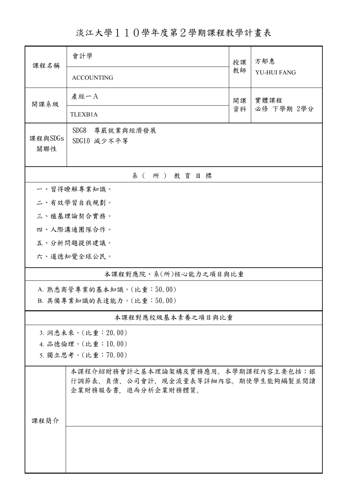淡江大學110學年度第2學期課程教學計畫表

| 課程名稱                  | 會計學                                                        |    | 方郁惠         |  |  |  |  |  |
|-----------------------|------------------------------------------------------------|----|-------------|--|--|--|--|--|
|                       | <b>ACCOUNTING</b>                                          | 教師 | YU-HUI FANG |  |  |  |  |  |
| 開課系級                  | 產經一A                                                       | 開課 | 實體課程        |  |  |  |  |  |
|                       | TLEXB1A                                                    | 資料 | 必修 下學期 2學分  |  |  |  |  |  |
|                       | SDG8<br>尊嚴就業與經濟發展                                          |    |             |  |  |  |  |  |
| 課程與SDGs<br>關聯性        | SDG10 減少不平等                                                |    |             |  |  |  |  |  |
|                       |                                                            |    |             |  |  |  |  |  |
| 系(所)教育目標              |                                                            |    |             |  |  |  |  |  |
| 一、習得瞭解專業知識。           |                                                            |    |             |  |  |  |  |  |
| 二、有效學習自我規劃。           |                                                            |    |             |  |  |  |  |  |
|                       | 三、植基理論契合實務。                                                |    |             |  |  |  |  |  |
|                       | 四、人際溝通團隊合作。                                                |    |             |  |  |  |  |  |
|                       | 五、分析問題提供建議。                                                |    |             |  |  |  |  |  |
|                       | 六、道德知覺全球公民。                                                |    |             |  |  |  |  |  |
| 本課程對應院、系(所)核心能力之項目與比重 |                                                            |    |             |  |  |  |  |  |
|                       | A. 熟悉商管專業的基本知識。(比重:50.00)                                  |    |             |  |  |  |  |  |
|                       | B. 具備專業知識的表達能力。(比重:50.00)                                  |    |             |  |  |  |  |  |
|                       | 本課程對應校級基本素養之項目與比重                                          |    |             |  |  |  |  |  |
|                       | 3. 洞悉未來。(比重: 20.00)                                        |    |             |  |  |  |  |  |
|                       | 4. 品德倫理。(比重:10.00)                                         |    |             |  |  |  |  |  |
|                       | 5. 獨立思考。(比重:70.00)                                         |    |             |  |  |  |  |  |
|                       | 本課程介紹財務會計之基本理論架構及實務應用。本學期課程內容主要包括:銀                        |    |             |  |  |  |  |  |
|                       | 行調節表、負債、公司會計、現金流量表等詳細內容。期使學生能夠編製並閱讀<br>企業財務報告書、進而分析企業財務體質。 |    |             |  |  |  |  |  |
|                       |                                                            |    |             |  |  |  |  |  |
|                       |                                                            |    |             |  |  |  |  |  |
| 課程簡介                  |                                                            |    |             |  |  |  |  |  |
|                       |                                                            |    |             |  |  |  |  |  |
|                       |                                                            |    |             |  |  |  |  |  |
|                       |                                                            |    |             |  |  |  |  |  |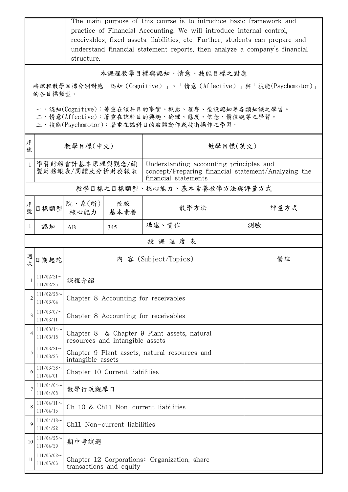|                                                                                                                                        | The main purpose of this course is to introduce basic framework and<br>practice of Financial Accounting. We will introduce internal control.<br>receivables, fixed assets, liabilities, etc. Further, students can prepare and<br>understand financial statement reports, then analyze a company's financial<br>structure. |                                                                                |                                      |                                                                                                                        |      |  |  |
|----------------------------------------------------------------------------------------------------------------------------------------|----------------------------------------------------------------------------------------------------------------------------------------------------------------------------------------------------------------------------------------------------------------------------------------------------------------------------|--------------------------------------------------------------------------------|--------------------------------------|------------------------------------------------------------------------------------------------------------------------|------|--|--|
| 本課程教學目標與認知、情意、技能目標之對應                                                                                                                  |                                                                                                                                                                                                                                                                                                                            |                                                                                |                                      |                                                                                                                        |      |  |  |
| 將課程教學目標分別對應「認知(Cognitive)」、「情意(Affective)」與「技能(Psychomotor)」<br>的各目標類型。                                                                |                                                                                                                                                                                                                                                                                                                            |                                                                                |                                      |                                                                                                                        |      |  |  |
| 一、認知(Cognitive):著重在該科目的事實、概念、程序、後設認知等各類知識之學習。<br>二、情意(Affective):著重在該科目的興趣、倫理、態度、信念、價值觀等之學習。<br>三、技能(Psychomotor):著重在該科目的肢體動作或技術操作之學習。 |                                                                                                                                                                                                                                                                                                                            |                                                                                |                                      |                                                                                                                        |      |  |  |
| 序<br>號                                                                                                                                 | 教學目標(中文)                                                                                                                                                                                                                                                                                                                   |                                                                                |                                      | 教學目標(英文)                                                                                                               |      |  |  |
|                                                                                                                                        | 學習財務會計基本原理與觀念/編<br>製財務報表/閱讀及分析財務報表                                                                                                                                                                                                                                                                                         |                                                                                |                                      | Understanding accounting principles and<br>concept/Preparing financial statement/Analyzing the<br>financial statements |      |  |  |
|                                                                                                                                        |                                                                                                                                                                                                                                                                                                                            |                                                                                |                                      | 教學目標之目標類型、核心能力、基本素養教學方法與評量方式                                                                                           |      |  |  |
| 序<br>號                                                                                                                                 | 目標類型                                                                                                                                                                                                                                                                                                                       | 院、系(所)<br>核心能力                                                                 | 校級<br>基本素養                           | 教學方法                                                                                                                   | 評量方式 |  |  |
| $\mathbf{I}$                                                                                                                           | 認知                                                                                                                                                                                                                                                                                                                         | AB                                                                             | 345                                  | 講述、實作                                                                                                                  | 測驗   |  |  |
|                                                                                                                                        |                                                                                                                                                                                                                                                                                                                            |                                                                                |                                      | 授課進度表                                                                                                                  |      |  |  |
| 週<br>次                                                                                                                                 | 日期起訖                                                                                                                                                                                                                                                                                                                       |                                                                                |                                      | 內 容 (Subject/Topics)                                                                                                   | 備註   |  |  |
| 1                                                                                                                                      | $111/02/21$ ~<br>111/02/25                                                                                                                                                                                                                                                                                                 | 課程介紹                                                                           |                                      |                                                                                                                        |      |  |  |
| $\overline{2}$                                                                                                                         | $111/02/28$ ~<br>111/03/04                                                                                                                                                                                                                                                                                                 | Chapter 8 Accounting for receivables                                           |                                      |                                                                                                                        |      |  |  |
| 3                                                                                                                                      | $111/03/07$ ~<br>111/03/11                                                                                                                                                                                                                                                                                                 |                                                                                | Chapter 8 Accounting for receivables |                                                                                                                        |      |  |  |
| 4                                                                                                                                      | $111/03/14$ ~<br>111/03/18                                                                                                                                                                                                                                                                                                 | Chapter 8 & Chapter 9 Plant assets, natural<br>resources and intangible assets |                                      |                                                                                                                        |      |  |  |
| 5                                                                                                                                      | $111/03/21$ ~<br>111/03/25                                                                                                                                                                                                                                                                                                 | Chapter 9 Plant assets, natural resources and<br>intangible assets             |                                      |                                                                                                                        |      |  |  |
| 6                                                                                                                                      | $111/03/28$ ~<br>111/04/01                                                                                                                                                                                                                                                                                                 | Chapter 10 Current liabilities                                                 |                                      |                                                                                                                        |      |  |  |
| 7                                                                                                                                      | $111/04/04$ ~<br>111/04/08                                                                                                                                                                                                                                                                                                 | 教學行政觀摩日                                                                        |                                      |                                                                                                                        |      |  |  |
| 8                                                                                                                                      | $111/04/11$ ~<br>111/04/15                                                                                                                                                                                                                                                                                                 |                                                                                | Ch 10 & Ch11 Non-current liabilities |                                                                                                                        |      |  |  |
| 9                                                                                                                                      | $111/04/18$ ~<br>111/04/22                                                                                                                                                                                                                                                                                                 | Ch11 Non-current liabilities                                                   |                                      |                                                                                                                        |      |  |  |
| 10                                                                                                                                     | $111/04/25$ ~<br>111/04/29                                                                                                                                                                                                                                                                                                 | 期中考試週                                                                          |                                      |                                                                                                                        |      |  |  |
| 11                                                                                                                                     | $111/05/02$ ~<br>111/05/06                                                                                                                                                                                                                                                                                                 | Chapter 12 Corporations: Organization, share<br>transactions and equity        |                                      |                                                                                                                        |      |  |  |